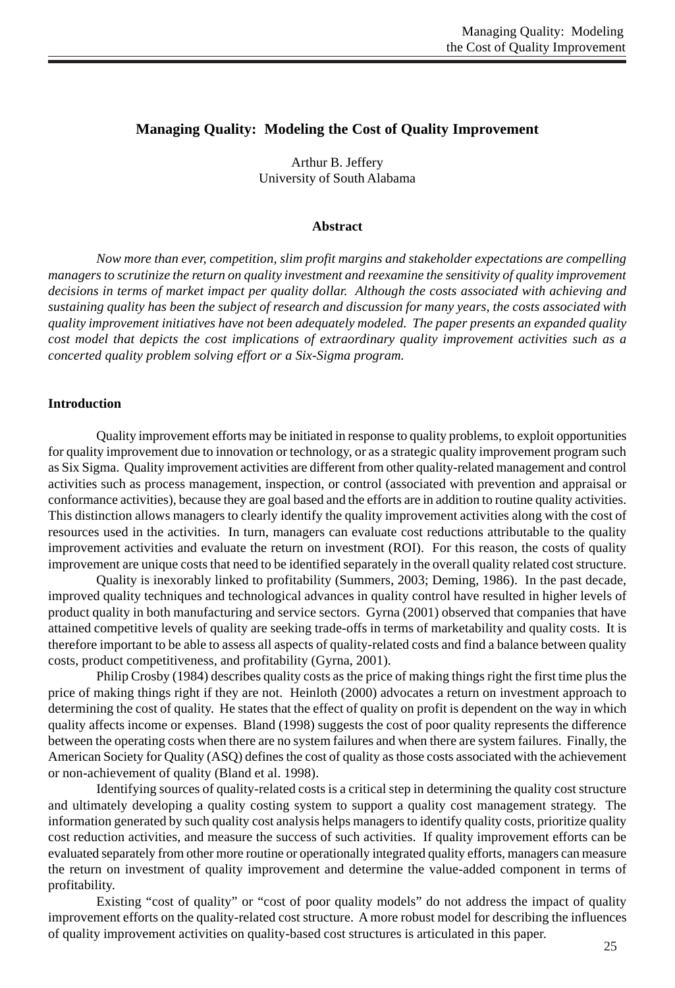# **Managing Quality: Modeling the Cost of Quality Improvement**

Arthur B. Jeffery University of South Alabama

#### **Abstract**

*Now more than ever, competition, slim profit margins and stakeholder expectations are compelling managers to scrutinize the return on quality investment and reexamine the sensitivity of quality improvement decisions in terms of market impact per quality dollar. Although the costs associated with achieving and sustaining quality has been the subject of research and discussion for many years, the costs associated with quality improvement initiatives have not been adequately modeled. The paper presents an expanded quality cost model that depicts the cost implications of extraordinary quality improvement activities such as a concerted quality problem solving effort or a Six-Sigma program.*

### **Introduction**

Quality improvement efforts may be initiated in response to quality problems, to exploit opportunities for quality improvement due to innovation or technology, or as a strategic quality improvement program such as Six Sigma. Quality improvement activities are different from other quality-related management and control activities such as process management, inspection, or control (associated with prevention and appraisal or conformance activities), because they are goal based and the efforts are in addition to routine quality activities. This distinction allows managers to clearly identify the quality improvement activities along with the cost of resources used in the activities. In turn, managers can evaluate cost reductions attributable to the quality improvement activities and evaluate the return on investment (ROI). For this reason, the costs of quality improvement are unique costs that need to be identified separately in the overall quality related cost structure.

Quality is inexorably linked to profitability (Summers, 2003; Deming, 1986). In the past decade, improved quality techniques and technological advances in quality control have resulted in higher levels of product quality in both manufacturing and service sectors. Gyrna (2001) observed that companies that have attained competitive levels of quality are seeking trade-offs in terms of marketability and quality costs. It is therefore important to be able to assess all aspects of quality-related costs and find a balance between quality costs, product competitiveness, and profitability (Gyrna, 2001).

Philip Crosby (1984) describes quality costs as the price of making things right the first time plus the price of making things right if they are not. Heinloth (2000) advocates a return on investment approach to determining the cost of quality. He states that the effect of quality on profit is dependent on the way in which quality affects income or expenses. Bland (1998) suggests the cost of poor quality represents the difference between the operating costs when there are no system failures and when there are system failures. Finally, the American Society for Quality (ASQ) defines the cost of quality as those costs associated with the achievement or non-achievement of quality (Bland et al. 1998).

Identifying sources of quality-related costs is a critical step in determining the quality cost structure and ultimately developing a quality costing system to support a quality cost management strategy. The information generated by such quality cost analysis helps managers to identify quality costs, prioritize quality cost reduction activities, and measure the success of such activities. If quality improvement efforts can be evaluated separately from other more routine or operationally integrated quality efforts, managers can measure the return on investment of quality improvement and determine the value-added component in terms of profitability.

Existing "cost of quality" or "cost of poor quality models" do not address the impact of quality improvement efforts on the quality-related cost structure. A more robust model for describing the influences of quality improvement activities on quality-based cost structures is articulated in this paper.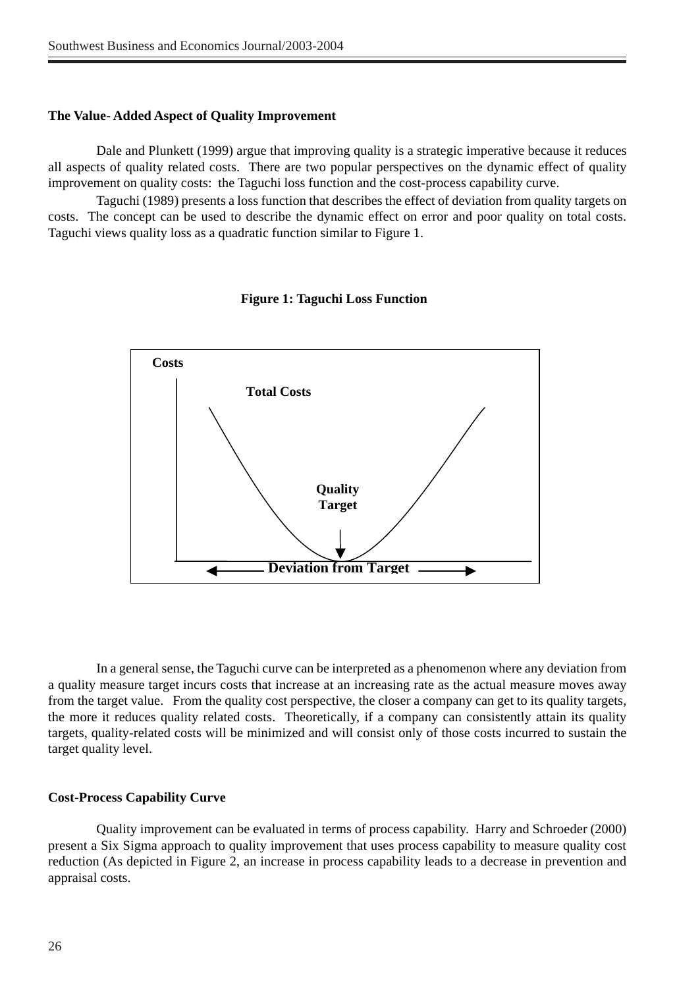### **The Value- Added Aspect of Quality Improvement**

Dale and Plunkett (1999) argue that improving quality is a strategic imperative because it reduces all aspects of quality related costs. There are two popular perspectives on the dynamic effect of quality improvement on quality costs: the Taguchi loss function and the cost-process capability curve.

Taguchi (1989) presents a loss function that describes the effect of deviation from quality targets on costs. The concept can be used to describe the dynamic effect on error and poor quality on total costs. Taguchi views quality loss as a quadratic function similar to Figure 1.



### **Figure 1: Taguchi Loss Function**

In a general sense, the Taguchi curve can be interpreted as a phenomenon where any deviation from a quality measure target incurs costs that increase at an increasing rate as the actual measure moves away from the target value. From the quality cost perspective, the closer a company can get to its quality targets, the more it reduces quality related costs. Theoretically, if a company can consistently attain its quality targets, quality-related costs will be minimized and will consist only of those costs incurred to sustain the target quality level.

### **Cost-Process Capability Curve**

Quality improvement can be evaluated in terms of process capability. Harry and Schroeder (2000) present a Six Sigma approach to quality improvement that uses process capability to measure quality cost reduction (As depicted in Figure 2, an increase in process capability leads to a decrease in prevention and appraisal costs.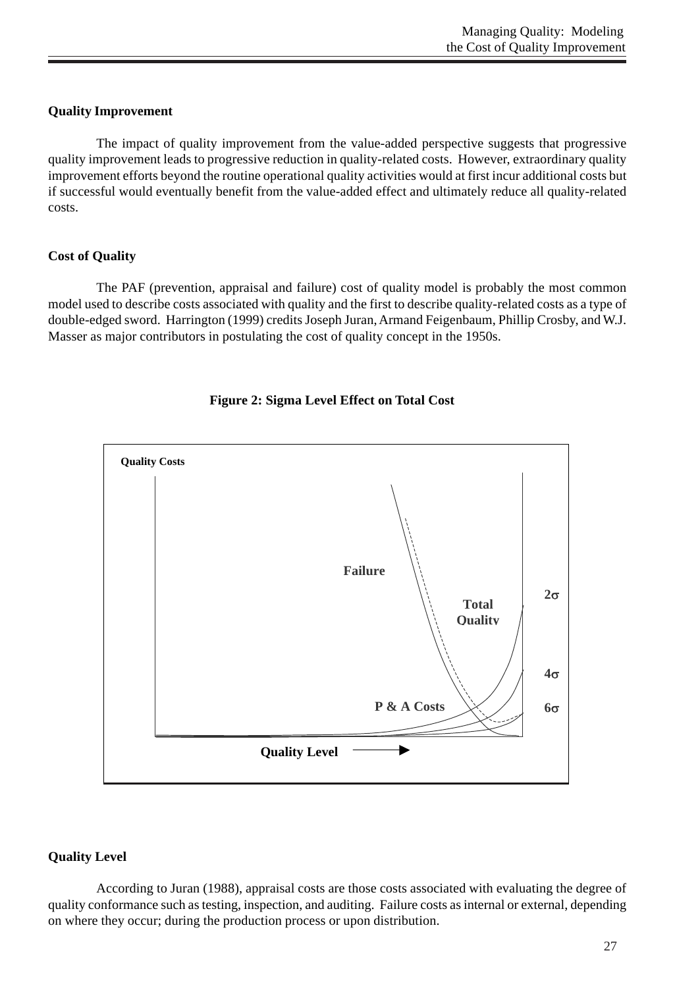## **Quality Improvement**

The impact of quality improvement from the value-added perspective suggests that progressive quality improvement leads to progressive reduction in quality-related costs. However, extraordinary quality improvement efforts beyond the routine operational quality activities would at first incur additional costs but if successful would eventually benefit from the value-added effect and ultimately reduce all quality-related costs.

# **Cost of Quality**

The PAF (prevention, appraisal and failure) cost of quality model is probably the most common model used to describe costs associated with quality and the first to describe quality-related costs as a type of double-edged sword. Harrington (1999) credits Joseph Juran, Armand Feigenbaum, Phillip Crosby, and W.J. Masser as major contributors in postulating the cost of quality concept in the 1950s.





# **Quality Level**

According to Juran (1988), appraisal costs are those costs associated with evaluating the degree of quality conformance such as testing, inspection, and auditing. Failure costs as internal or external, depending on where they occur; during the production process or upon distribution.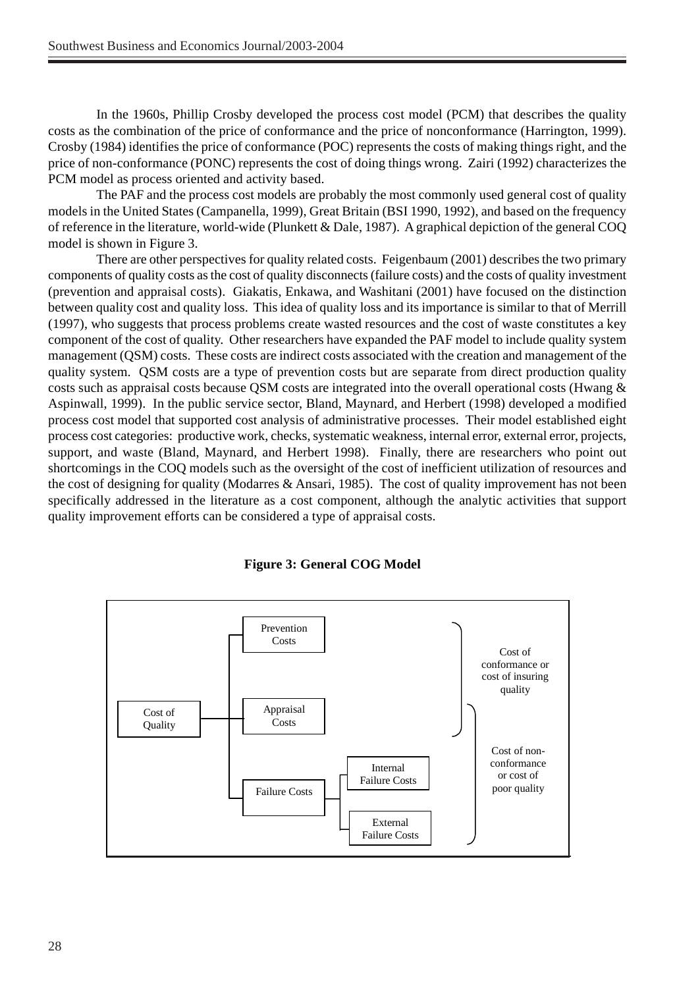In the 1960s, Phillip Crosby developed the process cost model (PCM) that describes the quality costs as the combination of the price of conformance and the price of nonconformance (Harrington, 1999). Crosby (1984) identifies the price of conformance (POC) represents the costs of making things right, and the price of non-conformance (PONC) represents the cost of doing things wrong. Zairi (1992) characterizes the PCM model as process oriented and activity based.

The PAF and the process cost models are probably the most commonly used general cost of quality models in the United States (Campanella, 1999), Great Britain (BSI 1990, 1992), and based on the frequency of reference in the literature, world-wide (Plunkett & Dale, 1987). A graphical depiction of the general COQ model is shown in Figure 3.

There are other perspectives for quality related costs. Feigenbaum (2001) describes the two primary components of quality costs as the cost of quality disconnects (failure costs) and the costs of quality investment (prevention and appraisal costs). Giakatis, Enkawa, and Washitani (2001) have focused on the distinction between quality cost and quality loss. This idea of quality loss and its importance is similar to that of Merrill (1997), who suggests that process problems create wasted resources and the cost of waste constitutes a key component of the cost of quality. Other researchers have expanded the PAF model to include quality system management (QSM) costs. These costs are indirect costs associated with the creation and management of the quality system. QSM costs are a type of prevention costs but are separate from direct production quality costs such as appraisal costs because QSM costs are integrated into the overall operational costs (Hwang & Aspinwall, 1999). In the public service sector, Bland, Maynard, and Herbert (1998) developed a modified process cost model that supported cost analysis of administrative processes. Their model established eight process cost categories: productive work, checks, systematic weakness, internal error, external error, projects, support, and waste (Bland, Maynard, and Herbert 1998). Finally, there are researchers who point out shortcomings in the COQ models such as the oversight of the cost of inefficient utilization of resources and the cost of designing for quality (Modarres & Ansari, 1985). The cost of quality improvement has not been specifically addressed in the literature as a cost component, although the analytic activities that support quality improvement efforts can be considered a type of appraisal costs.



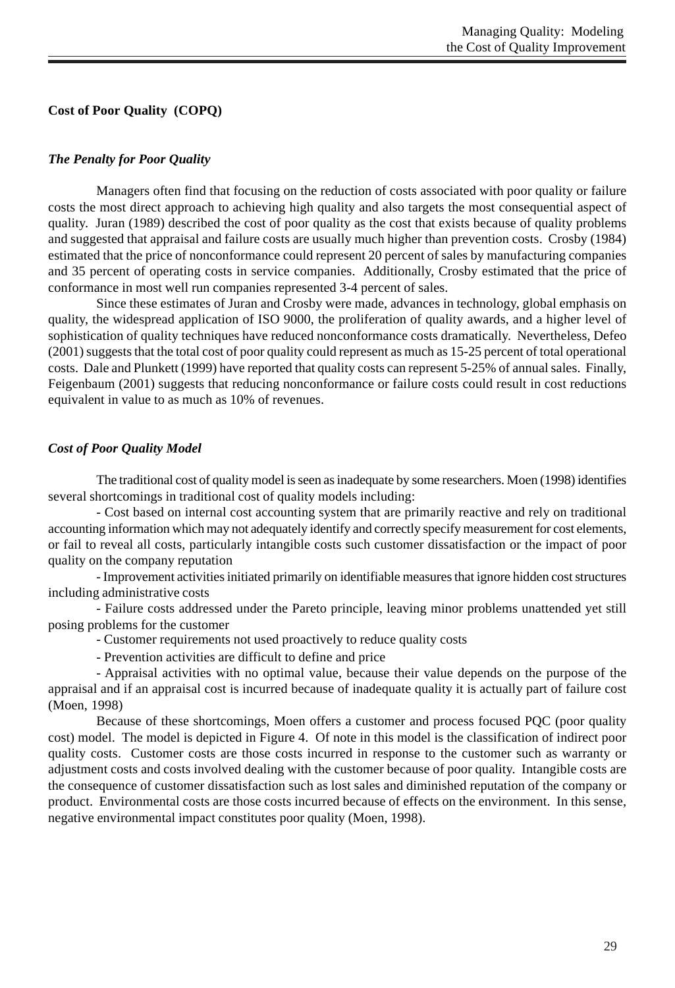## **Cost of Poor Quality (COPQ)**

## *The Penalty for Poor Quality*

Managers often find that focusing on the reduction of costs associated with poor quality or failure costs the most direct approach to achieving high quality and also targets the most consequential aspect of quality. Juran (1989) described the cost of poor quality as the cost that exists because of quality problems and suggested that appraisal and failure costs are usually much higher than prevention costs. Crosby (1984) estimated that the price of nonconformance could represent 20 percent of sales by manufacturing companies and 35 percent of operating costs in service companies. Additionally, Crosby estimated that the price of conformance in most well run companies represented 3-4 percent of sales.

Since these estimates of Juran and Crosby were made, advances in technology, global emphasis on quality, the widespread application of ISO 9000, the proliferation of quality awards, and a higher level of sophistication of quality techniques have reduced nonconformance costs dramatically. Nevertheless, Defeo (2001) suggests that the total cost of poor quality could represent as much as 15-25 percent of total operational costs. Dale and Plunkett (1999) have reported that quality costs can represent 5-25% of annual sales. Finally, Feigenbaum (2001) suggests that reducing nonconformance or failure costs could result in cost reductions equivalent in value to as much as 10% of revenues.

## *Cost of Poor Quality Model*

The traditional cost of quality model is seen as inadequate by some researchers. Moen (1998) identifies several shortcomings in traditional cost of quality models including:

- Cost based on internal cost accounting system that are primarily reactive and rely on traditional accounting information which may not adequately identify and correctly specify measurement for cost elements, or fail to reveal all costs, particularly intangible costs such customer dissatisfaction or the impact of poor quality on the company reputation

- Improvement activities initiated primarily on identifiable measures that ignore hidden cost structures including administrative costs

- Failure costs addressed under the Pareto principle, leaving minor problems unattended yet still posing problems for the customer

- Customer requirements not used proactively to reduce quality costs

- Prevention activities are difficult to define and price

- Appraisal activities with no optimal value, because their value depends on the purpose of the appraisal and if an appraisal cost is incurred because of inadequate quality it is actually part of failure cost (Moen, 1998)

Because of these shortcomings, Moen offers a customer and process focused PQC (poor quality cost) model. The model is depicted in Figure 4. Of note in this model is the classification of indirect poor quality costs. Customer costs are those costs incurred in response to the customer such as warranty or adjustment costs and costs involved dealing with the customer because of poor quality. Intangible costs are the consequence of customer dissatisfaction such as lost sales and diminished reputation of the company or product. Environmental costs are those costs incurred because of effects on the environment. In this sense, negative environmental impact constitutes poor quality (Moen, 1998).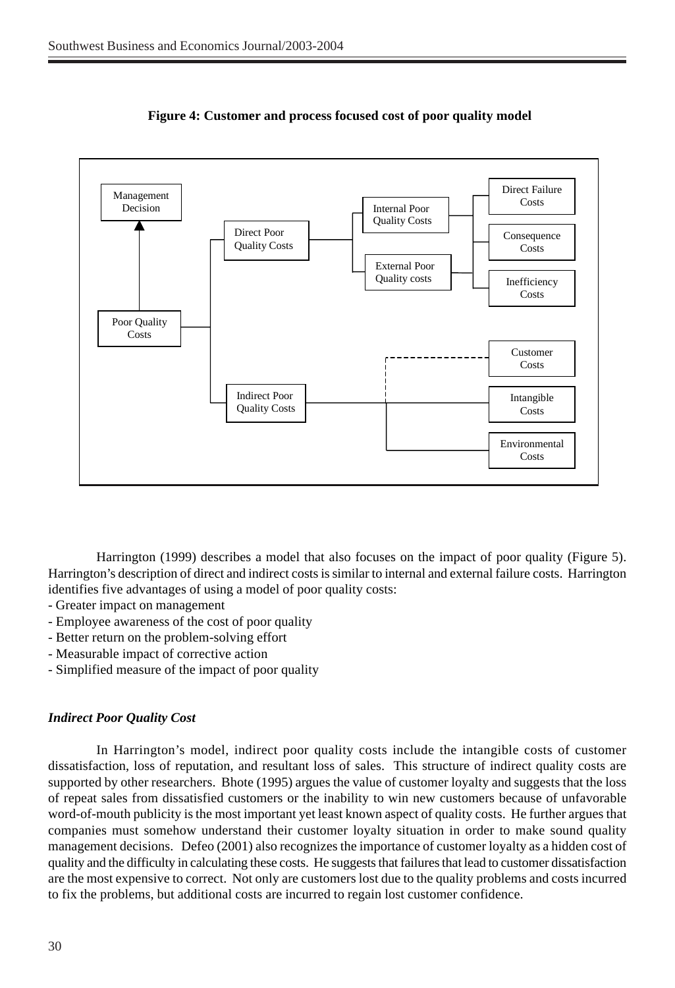

 **Figure 4: Customer and process focused cost of poor quality model**

Harrington (1999) describes a model that also focuses on the impact of poor quality (Figure 5). Harrington's description of direct and indirect costs is similar to internal and external failure costs. Harrington identifies five advantages of using a model of poor quality costs:

- Greater impact on management
- Employee awareness of the cost of poor quality
- Better return on the problem-solving effort
- Measurable impact of corrective action
- Simplified measure of the impact of poor quality

### *Indirect Poor Quality Cost*

In Harrington's model, indirect poor quality costs include the intangible costs of customer dissatisfaction, loss of reputation, and resultant loss of sales. This structure of indirect quality costs are supported by other researchers. Bhote (1995) argues the value of customer loyalty and suggests that the loss of repeat sales from dissatisfied customers or the inability to win new customers because of unfavorable word-of-mouth publicity is the most important yet least known aspect of quality costs. He further argues that companies must somehow understand their customer loyalty situation in order to make sound quality management decisions. Defeo (2001) also recognizes the importance of customer loyalty as a hidden cost of quality and the difficulty in calculating these costs. He suggests that failures that lead to customer dissatisfaction are the most expensive to correct. Not only are customers lost due to the quality problems and costs incurred to fix the problems, but additional costs are incurred to regain lost customer confidence.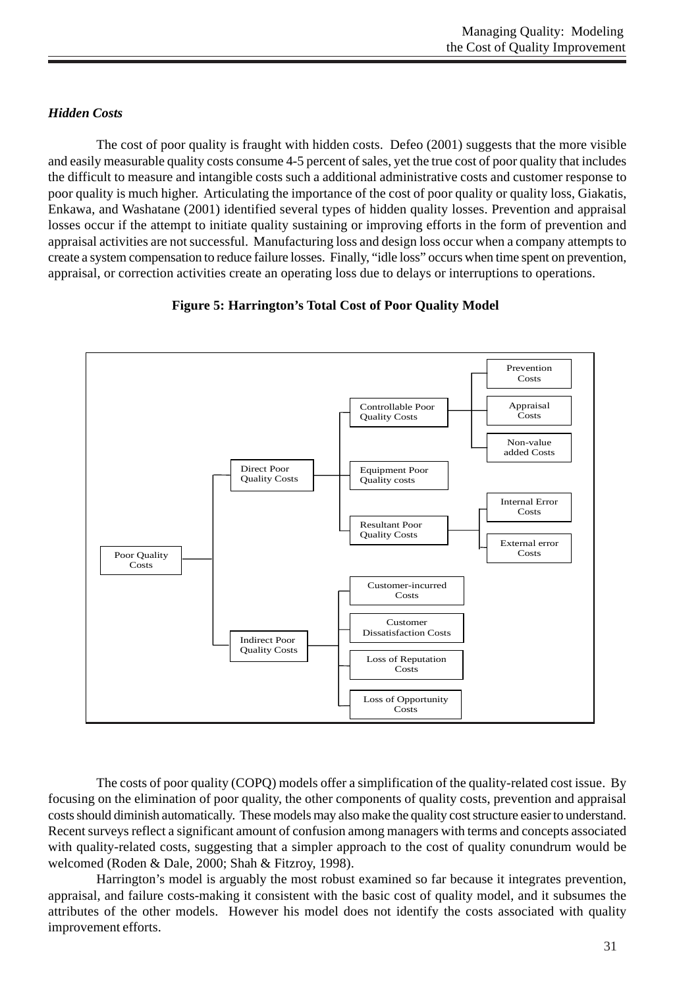# *Hidden Costs*

The cost of poor quality is fraught with hidden costs. Defeo (2001) suggests that the more visible and easily measurable quality costs consume 4-5 percent of sales, yet the true cost of poor quality that includes the difficult to measure and intangible costs such a additional administrative costs and customer response to poor quality is much higher. Articulating the importance of the cost of poor quality or quality loss, Giakatis, Enkawa, and Washatane (2001) identified several types of hidden quality losses. Prevention and appraisal losses occur if the attempt to initiate quality sustaining or improving efforts in the form of prevention and appraisal activities are not successful. Manufacturing loss and design loss occur when a company attempts to create a system compensation to reduce failure losses. Finally, "idle loss" occurs when time spent on prevention, appraisal, or correction activities create an operating loss due to delays or interruptions to operations.

# **Figure 5: Harrington's Total Cost of Poor Quality Model**



The costs of poor quality (COPQ) models offer a simplification of the quality-related cost issue. By focusing on the elimination of poor quality, the other components of quality costs, prevention and appraisal costs should diminish automatically. These models may also make the quality cost structure easier to understand. Recent surveys reflect a significant amount of confusion among managers with terms and concepts associated with quality-related costs, suggesting that a simpler approach to the cost of quality conundrum would be welcomed (Roden & Dale, 2000; Shah & Fitzroy, 1998).

Harrington's model is arguably the most robust examined so far because it integrates prevention, appraisal, and failure costs-making it consistent with the basic cost of quality model, and it subsumes the attributes of the other models. However his model does not identify the costs associated with quality improvement efforts.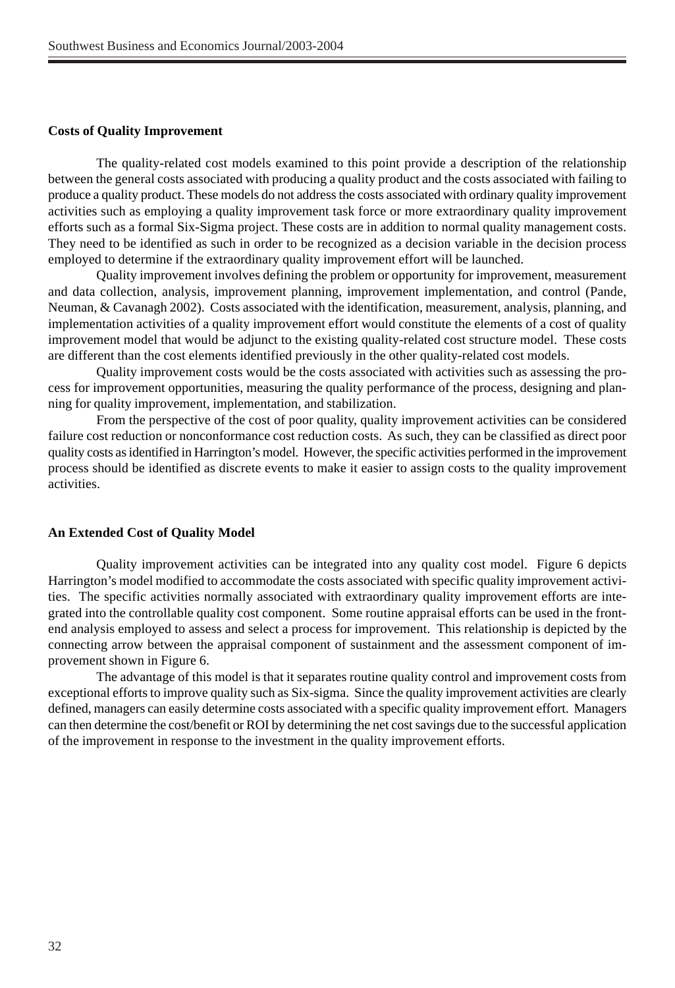#### **Costs of Quality Improvement**

The quality-related cost models examined to this point provide a description of the relationship between the general costs associated with producing a quality product and the costs associated with failing to produce a quality product. These models do not address the costs associated with ordinary quality improvement activities such as employing a quality improvement task force or more extraordinary quality improvement efforts such as a formal Six-Sigma project. These costs are in addition to normal quality management costs. They need to be identified as such in order to be recognized as a decision variable in the decision process employed to determine if the extraordinary quality improvement effort will be launched.

Quality improvement involves defining the problem or opportunity for improvement, measurement and data collection, analysis, improvement planning, improvement implementation, and control (Pande, Neuman, & Cavanagh 2002). Costs associated with the identification, measurement, analysis, planning, and implementation activities of a quality improvement effort would constitute the elements of a cost of quality improvement model that would be adjunct to the existing quality-related cost structure model. These costs are different than the cost elements identified previously in the other quality-related cost models.

Quality improvement costs would be the costs associated with activities such as assessing the process for improvement opportunities, measuring the quality performance of the process, designing and planning for quality improvement, implementation, and stabilization.

From the perspective of the cost of poor quality, quality improvement activities can be considered failure cost reduction or nonconformance cost reduction costs. As such, they can be classified as direct poor quality costs as identified in Harrington's model. However, the specific activities performed in the improvement process should be identified as discrete events to make it easier to assign costs to the quality improvement activities.

#### **An Extended Cost of Quality Model**

Quality improvement activities can be integrated into any quality cost model. Figure 6 depicts Harrington's model modified to accommodate the costs associated with specific quality improvement activities. The specific activities normally associated with extraordinary quality improvement efforts are integrated into the controllable quality cost component. Some routine appraisal efforts can be used in the frontend analysis employed to assess and select a process for improvement. This relationship is depicted by the connecting arrow between the appraisal component of sustainment and the assessment component of improvement shown in Figure 6.

The advantage of this model is that it separates routine quality control and improvement costs from exceptional efforts to improve quality such as Six-sigma. Since the quality improvement activities are clearly defined, managers can easily determine costs associated with a specific quality improvement effort. Managers can then determine the cost/benefit or ROI by determining the net cost savings due to the successful application of the improvement in response to the investment in the quality improvement efforts.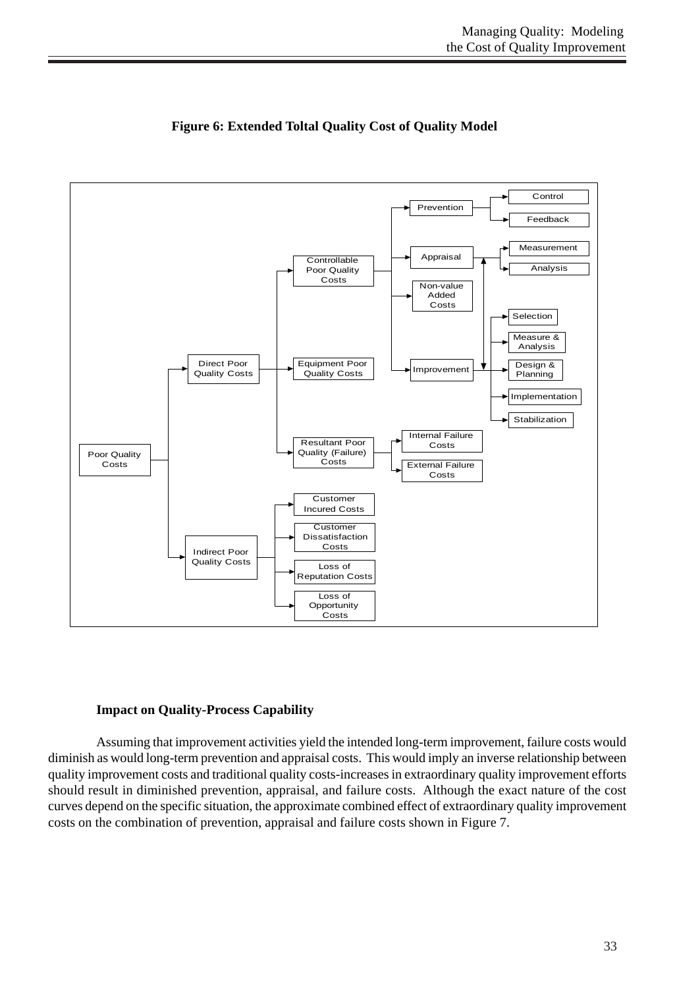

# **Figure 6: Extended Toltal Quality Cost of Quality Model**

## **Impact on Quality-Process Capability**

Assuming that improvement activities yield the intended long-term improvement, failure costs would diminish as would long-term prevention and appraisal costs. This would imply an inverse relationship between quality improvement costs and traditional quality costs-increases in extraordinary quality improvement efforts should result in diminished prevention, appraisal, and failure costs. Although the exact nature of the cost curves depend on the specific situation, the approximate combined effect of extraordinary quality improvement costs on the combination of prevention, appraisal and failure costs shown in Figure 7.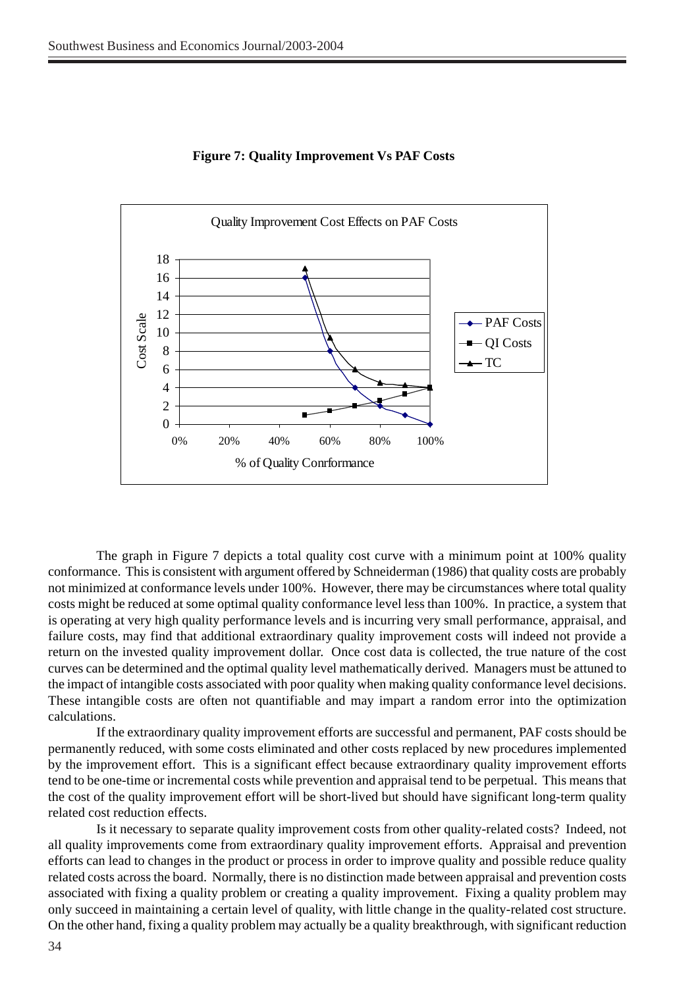

#### **Figure 7: Quality Improvement Vs PAF Costs**

The graph in Figure 7 depicts a total quality cost curve with a minimum point at 100% quality conformance. This is consistent with argument offered by Schneiderman (1986) that quality costs are probably not minimized at conformance levels under 100%. However, there may be circumstances where total quality costs might be reduced at some optimal quality conformance level less than 100%. In practice, a system that is operating at very high quality performance levels and is incurring very small performance, appraisal, and failure costs, may find that additional extraordinary quality improvement costs will indeed not provide a return on the invested quality improvement dollar. Once cost data is collected, the true nature of the cost curves can be determined and the optimal quality level mathematically derived. Managers must be attuned to the impact of intangible costs associated with poor quality when making quality conformance level decisions. These intangible costs are often not quantifiable and may impart a random error into the optimization calculations.

If the extraordinary quality improvement efforts are successful and permanent, PAF costs should be permanently reduced, with some costs eliminated and other costs replaced by new procedures implemented by the improvement effort. This is a significant effect because extraordinary quality improvement efforts tend to be one-time or incremental costs while prevention and appraisal tend to be perpetual. This means that the cost of the quality improvement effort will be short-lived but should have significant long-term quality related cost reduction effects.

Is it necessary to separate quality improvement costs from other quality-related costs? Indeed, not all quality improvements come from extraordinary quality improvement efforts. Appraisal and prevention efforts can lead to changes in the product or process in order to improve quality and possible reduce quality related costs across the board. Normally, there is no distinction made between appraisal and prevention costs associated with fixing a quality problem or creating a quality improvement. Fixing a quality problem may only succeed in maintaining a certain level of quality, with little change in the quality-related cost structure. On the other hand, fixing a quality problem may actually be a quality breakthrough, with significant reduction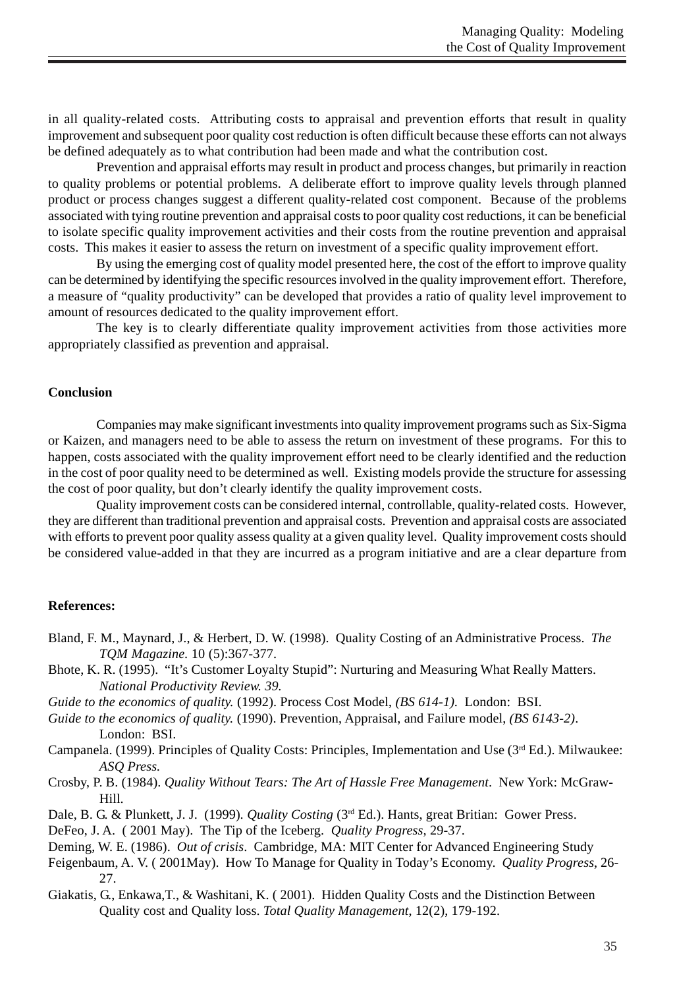in all quality-related costs. Attributing costs to appraisal and prevention efforts that result in quality improvement and subsequent poor quality cost reduction is often difficult because these efforts can not always be defined adequately as to what contribution had been made and what the contribution cost.

Prevention and appraisal efforts may result in product and process changes, but primarily in reaction to quality problems or potential problems. A deliberate effort to improve quality levels through planned product or process changes suggest a different quality-related cost component. Because of the problems associated with tying routine prevention and appraisal costs to poor quality cost reductions, it can be beneficial to isolate specific quality improvement activities and their costs from the routine prevention and appraisal costs. This makes it easier to assess the return on investment of a specific quality improvement effort.

By using the emerging cost of quality model presented here, the cost of the effort to improve quality can be determined by identifying the specific resources involved in the quality improvement effort. Therefore, a measure of "quality productivity" can be developed that provides a ratio of quality level improvement to amount of resources dedicated to the quality improvement effort.

The key is to clearly differentiate quality improvement activities from those activities more appropriately classified as prevention and appraisal.

### **Conclusion**

Companies may make significant investments into quality improvement programs such as Six-Sigma or Kaizen, and managers need to be able to assess the return on investment of these programs. For this to happen, costs associated with the quality improvement effort need to be clearly identified and the reduction in the cost of poor quality need to be determined as well. Existing models provide the structure for assessing the cost of poor quality, but don't clearly identify the quality improvement costs.

Quality improvement costs can be considered internal, controllable, quality-related costs. However, they are different than traditional prevention and appraisal costs. Prevention and appraisal costs are associated with efforts to prevent poor quality assess quality at a given quality level. Quality improvement costs should be considered value-added in that they are incurred as a program initiative and are a clear departure from

### **References:**

- Bland, F. M., Maynard, J., & Herbert, D. W. (1998). Quality Costing of an Administrative Process. *The TQM Magazine.* 10 (5):367-377.
- Bhote, K. R. (1995). "It's Customer Loyalty Stupid": Nurturing and Measuring What Really Matters. *National Productivity Review. 39.*
- *Guide to the economics of quality.* (1992). Process Cost Model, *(BS 614-1)*. London: BSI.
- *Guide to the economics of quality.* (1990). Prevention, Appraisal, and Failure model, *(BS 6143-2)*. London: BSI.
- Campanela. (1999). Principles of Quality Costs: Principles, Implementation and Use (3<sup>rd</sup> Ed.). Milwaukee: *ASQ Press.*
- Crosby, P. B. (1984). *Quality Without Tears: The Art of Hassle Free Management*. New York: McGraw-Hill.
- Dale, B. G. & Plunkett, J. J. (1999)*. Quality Costing* (3rd Ed.). Hants, great Britian: Gower Press.
- DeFeo, J. A. ( 2001 May). The Tip of the Iceberg. *Quality Progress,* 29-37.
- Deming, W. E. (1986). *Out of crisis*. Cambridge, MA: MIT Center for Advanced Engineering Study
- Feigenbaum, A. V. ( 2001May). How To Manage for Quality in Today's Economy. *Quality Progress*, 26- 27.
- Giakatis, G., Enkawa,T., & Washitani, K. ( 2001). Hidden Quality Costs and the Distinction Between Quality cost and Quality loss. *Total Quality Management*, 12(2), 179-192.